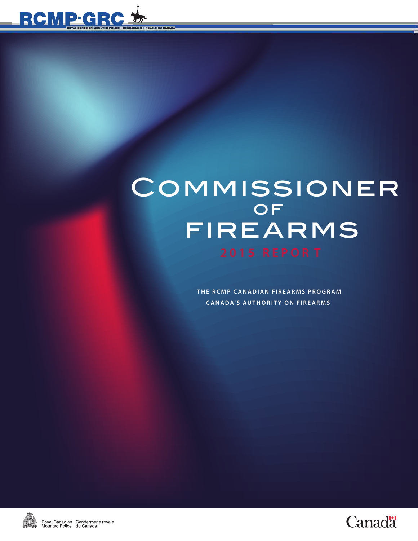

**YALE DU CANAD** 

# **COMMISSIONER** firearms OF

**THE RCMP CANADIAN FIREARMS PROGRAM CANADA'S AUTHORITY ON FIREARMS** 



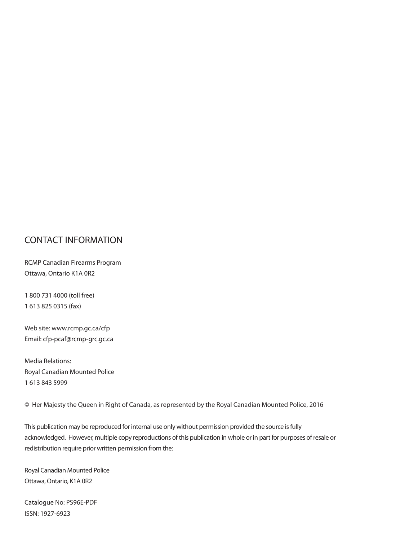# CONTACT INFORMATION

RCMP Canadian Firearms Program Ottawa, Ontario K1A 0R2

1 800 731 4000 (toll free) 1 613 825 0315 (fax)

Web site: www.rcmp.gc.ca/cfp Email: cfp-pcaf@rcmp-grc.gc.ca

Media Relations: Royal Canadian Mounted Police 1 613 843 5999

© Her Majesty the Queen in Right of Canada, as represented by the Royal Canadian Mounted Police, 2016

This publication may be reproduced for internal use only without permission provided the source is fully acknowledged. However, multiple copy reproductions of this publication in whole or in part for purposes of resale or redistribution require prior written permission from the:

Royal Canadian Mounted Police Ottawa, Ontario, K1A 0R2

Catalogue No: PS96E-PDF ISSN: 1927-6923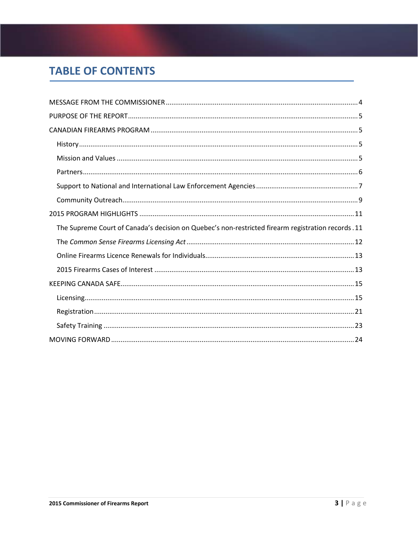# **TABLE OF CONTENTS**

| The Supreme Court of Canada's decision on Quebec's non-restricted firearm registration records .11 |
|----------------------------------------------------------------------------------------------------|
|                                                                                                    |
|                                                                                                    |
|                                                                                                    |
|                                                                                                    |
|                                                                                                    |
|                                                                                                    |
|                                                                                                    |
|                                                                                                    |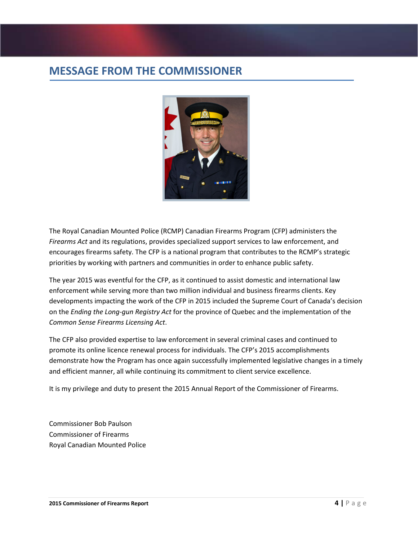# <span id="page-3-0"></span>**MESSAGE FROM THE COMMISSIONER**



The Royal Canadian Mounted Police (RCMP) Canadian Firearms Program (CFP) administers the *Firearms Act* and its regulations, provides specialized support services to law enforcement, and encourages firearms safety. The CFP is a national program that contributes to the RCMP's strategic priorities by working with partners and communities in order to enhance public safety.

The year 2015 was eventful for the CFP, as it continued to assist domestic and international law enforcement while serving more than two million individual and business firearms clients. Key developments impacting the work of the CFP in 2015 included the Supreme Court of Canada's decision on the *Ending the Long-gun Registry Act* for the province of Quebec and the implementation of the *Common Sense Firearms Licensing Act*.

The CFP also provided expertise to law enforcement in several criminal cases and continued to promote its online licence renewal process for individuals. The CFP's 2015 accomplishments demonstrate how the Program has once again successfully implemented legislative changes in a timely and efficient manner, all while continuing its commitment to client service excellence.

It is my privilege and duty to present the 2015 Annual Report of the Commissioner of Firearms.

Commissioner Bob Paulson Commissioner of Firearms Royal Canadian Mounted Police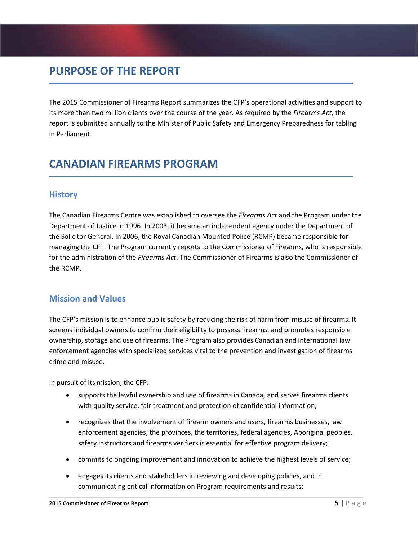# <span id="page-4-0"></span>**PURPOSE OF THE REPORT**

The 2015 Commissioner of Firearms Report summarizes the CFP's operational activities and support to its more than two million clients over the course of the year. As required by the *Firearms Act*, the report is submitted annually to the Minister of Public Safety and Emergency Preparedness for tabling in Parliament.

# <span id="page-4-1"></span>**CANADIAN FIREARMS PROGRAM**

# <span id="page-4-2"></span>**History**

The Canadian Firearms Centre was established to oversee the *Firearms Act* and the Program under the Department of Justice in 1996. In 2003, it became an independent agency under the Department of the Solicitor General. In 2006, the Royal Canadian Mounted Police (RCMP) became responsible for managing the CFP. The Program currently reports to the Commissioner of Firearms, who is responsible for the administration of the *Firearms Act*. The Commissioner of Firearms is also the Commissioner of the RCMP.

# <span id="page-4-3"></span>**Mission and Values**

The CFP's mission is to enhance public safety by reducing the risk of harm from misuse of firearms. It screens individual owners to confirm their eligibility to possess firearms, and promotes responsible ownership, storage and use of firearms. The Program also provides Canadian and international law enforcement agencies with specialized services vital to the prevention and investigation of firearms crime and misuse.

In pursuit of its mission, the CFP:

- supports the lawful ownership and use of firearms in Canada, and serves firearms clients with quality service, fair treatment and protection of confidential information;
- recognizes that the involvement of firearm owners and users, firearms businesses, law enforcement agencies, the provinces, the territories, federal agencies, Aboriginal peoples, safety instructors and firearms verifiers is essential for effective program delivery;
- commits to ongoing improvement and innovation to achieve the highest levels of service;
- engages its clients and stakeholders in reviewing and developing policies, and in communicating critical information on Program requirements and results;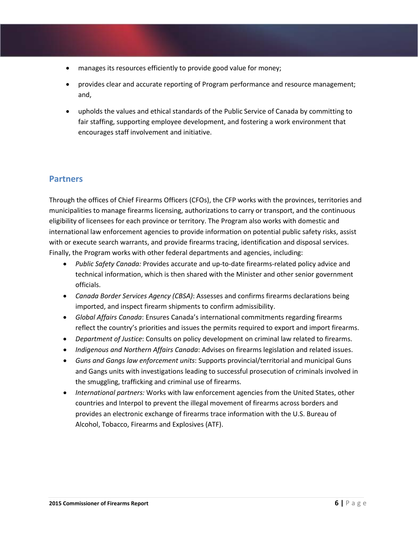- manages its resources efficiently to provide good value for money;
- provides clear and accurate reporting of Program performance and resource management; and,
- upholds the values and ethical standards of the Public Service of Canada by committing to fair staffing, supporting employee development, and fostering a work environment that encourages staff involvement and initiative.

# <span id="page-5-0"></span>**Partners**

Through the offices of Chief Firearms Officers (CFOs), the CFP works with the provinces, territories and municipalities to manage firearms licensing, authorizations to carry or transport, and the continuous eligibility of licensees for each province or territory. The Program also works with domestic and international law enforcement agencies to provide information on potential public safety risks, assist with or execute search warrants, and provide firearms tracing, identification and disposal services. Finally, the Program works with other federal departments and agencies, including:

- *Public Safety Canada:* Provides accurate and up-to-date firearms-related policy advice and technical information, which is then shared with the Minister and other senior government officials.
- *Canada Border Services Agency (CBSA)*: Assesses and confirms firearms declarations being imported, and inspect firearm shipments to confirm admissibility.
- *Global Affairs Canada*: Ensures Canada's international commitments regarding firearms reflect the country's priorities and issues the permits required to export and import firearms.
- *Department of Justice*: Consults on policy development on criminal law related to firearms.
- *Indigenous and Northern Affairs Canada*: Advises on firearms legislation and related issues.
- *Guns and Gangs law enforcement units*: Supports provincial/territorial and municipal Guns and Gangs units with investigations leading to successful prosecution of criminals involved in the smuggling, trafficking and criminal use of firearms.
- *International partners:* Works with law enforcement agencies from the United States, other countries and Interpol to prevent the illegal movement of firearms across borders and provides an electronic exchange of firearms trace information with the U.S. Bureau of Alcohol, Tobacco, Firearms and Explosives (ATF).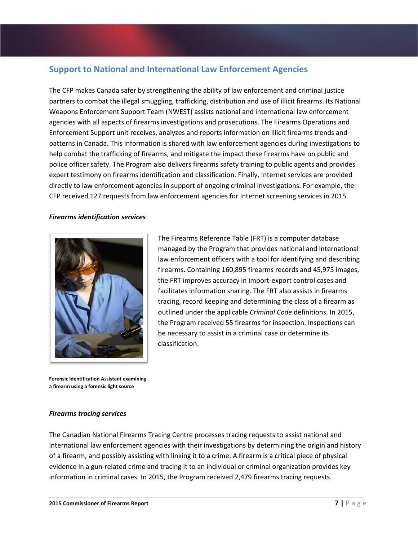# <span id="page-6-0"></span>**Support to National and International Law Enforcement Agencies**

The CFP makes Canada safer by strengthening the ability of law enforcement and criminal justice partners to combat the illegal smuggling, trafficking, distribution and use of illicit firearms. Its National Weapons Enforcement Support Team (NWEST) assists national and international law enforcement agencies with all aspects of firearms investigations and prosecutions. The Firearms Operations and Enforcement Support unit receives, analyzes and reports information on illicit firearms trends and patterns in Canada. This information is shared with law enforcement agencies during investigations to help combat the trafficking of firearms, and mitigate the impact these firearms have on public and police officer safety. The Program also delivers firearms safety training to public agents and provides expert testimony on firearms identification and classification. Finally, Internet services are provided directly to law enforcement agencies in support of ongoing criminal investigations. For example, the CFP received 127 requests from law enforcement agencies for Internet screening services in 2015.

#### *Firearms identification services*



Th[e Firearms Reference Table \(FRT\)](https://infobea.rcmp-grc.gc.ca/eFRTWeb/login.do) is a computer database managed by the Program that provides national and international law enforcement officers with a tool for identifying and describing firearms. Containing 160,895 firearms records and 45,975 images, the FRT improves accuracy in import-export control cases and facilitates information sharing. The FRT also assists in firearms tracing, record keeping and determining the class of a firearm as outlined under the applicable *Criminal Code* definitions. In 2015, the Program received 55 firearms for inspection. Inspections can be necessary to assist in a criminal case or determine its classification.

**Forensic Identification Assistant examining a firearm using a forensic light source** 

## *Firearms tracing services*

The Canadian National Firearms Tracing Centre processes tracing requests to assist national and international law enforcement agencies with their investigations by determining the origin and history of a firearm, and possibly assisting with linking it to a crime. A firearm is a critical piece of physical evidence in a gun-related crime and tracing it to an individual or criminal organization provides key information in criminal cases. In 2015, the Program received 2,479 firearms tracing requests.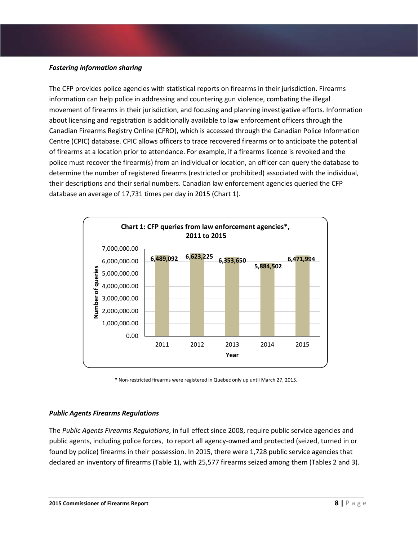## *Fostering information sharing*

The CFP provides police agencies with statistical reports on firearms in their jurisdiction. Firearms information can help police in addressing and countering gun violence, combating the illegal movement of firearms in their jurisdiction, and focusing and planning investigative efforts. Information about licensing and registration is additionally available to law enforcement officers through the Canadian Firearms Registry Online (CFRO), which is accessed through the Canadian Police Information Centre (CPIC) database. CPIC allows officers to trace recovered firearms or to anticipate the potential of firearms at a location prior to attendance. For example, if a firearms licence is revoked and the police must recover the firearm(s) from an individual or location, an officer can query the database to determine the number of registered firearms (restricted or prohibited) associated with the individual, their descriptions and their serial numbers. Canadian law enforcement agencies queried the CFP database an average of 17,731 times per day in 2015 (Chart 1).



**\*** Non-restricted firearms were registered in Quebec only up until March 27, 2015.

## *Public Agents Firearms Regulations*

The *Public Agents Firearms Regulations*, in full effect since 2008, require public service agencies and public agents, including police forces, to report all agency-owned and protected (seized, turned in or found by police) firearms in their possession. In 2015, there were 1,728 public service agencies that declared an inventory of firearms (Table 1), with 25,577 firearms seized among them (Tables 2 and 3).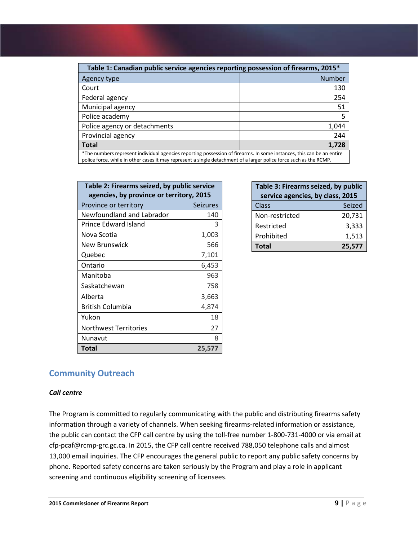| Table 1: Canadian public service agencies reporting possession of firearms, 2015*                                                                                                                                                           |               |
|---------------------------------------------------------------------------------------------------------------------------------------------------------------------------------------------------------------------------------------------|---------------|
| Agency type                                                                                                                                                                                                                                 | <b>Number</b> |
| Court                                                                                                                                                                                                                                       | 130           |
| Federal agency                                                                                                                                                                                                                              | 254           |
| Municipal agency                                                                                                                                                                                                                            | 51            |
| Police academy                                                                                                                                                                                                                              |               |
| Police agency or detachments                                                                                                                                                                                                                | 1.044         |
| Provincial agency                                                                                                                                                                                                                           | 244           |
| <b>Total</b><br>1,728                                                                                                                                                                                                                       |               |
| *The numbers represent individual agencies reporting possession of firearms. In some instances, this can be an entire<br>police force, while in other cases it may represent a single detachment of a larger police force such as the RCMP. |               |

| Table 2: Firearms seized, by public service<br>agencies, by province or territory, 2015 |                 |  |
|-----------------------------------------------------------------------------------------|-----------------|--|
| Province or territory                                                                   | <b>Seizures</b> |  |
| Newfoundland and Labrador                                                               | 140             |  |
| Prince Edward Island                                                                    | ٦               |  |
| Nova Scotia                                                                             | 1,003           |  |
| New Brunswick                                                                           | 566             |  |
| Quebec                                                                                  | 7,101           |  |
| Ontario                                                                                 | 6,453           |  |
| Manitoba                                                                                | 963             |  |
| Saskatchewan                                                                            | 758             |  |
| Alberta                                                                                 | 3,663           |  |
| British Columbia                                                                        | 4,874           |  |
| Yukon                                                                                   | 18              |  |
| <b>Northwest Territories</b>                                                            | 27              |  |
| Nunavut                                                                                 | 8               |  |
| Total<br>25,577                                                                         |                 |  |

| Table 3: Firearms seized, by public<br>service agencies, by class, 2015 |        |
|-------------------------------------------------------------------------|--------|
| <b>Class</b>                                                            | Seized |
| Non-restricted                                                          | 20,731 |
| Restricted                                                              | 3,333  |
| Prohibited                                                              | 1,513  |
| <b>Total</b><br>25,577                                                  |        |

# <span id="page-8-0"></span>**Community Outreach**

## *Call centre*

The Program is committed to regularly communicating with the public and distributing firearms safety information through a variety of channels. When seeking firearms-related information or assistance, the public can contact the CFP call centre by using the toll-free number 1-800-731-4000 or via email at [cfp-pcaf@rcmp-grc.gc.ca.](mailto:cfp-pcaf@rcmp-grc.gc.ca) In 2015, the CFP call centre received 788,050 telephone calls and almost 13,000 email inquiries. The CFP encourages the general public to report any public safety concerns by phone. Reported safety concerns are taken seriously by the Program and play a role in applicant screening and continuous eligibility screening of licensees.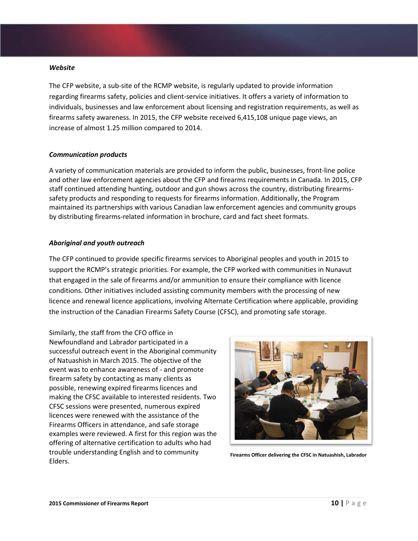#### *Website*

The [CFP](http://www.rcmp-grc.gc.ca/cfp-pcaf/index-eng.htm) website, a sub-site of the RCMP website, is regularly updated to provide information regarding firearms safety, policies and client-service initiatives. It offers a variety of information to individuals, businesses and law enforcement about licensing and registration requirements, as well as firearms safety awareness. In 2015, the CFP website received 6,415,108 unique page views, an increase of almost 1.25 million compared to 2014.

#### *Communication products*

A variety of communication materials are provided to inform the public, businesses, front-line police and other law enforcement agencies about the CFP and firearms requirements in Canada. In 2015, CFP staff continued attending hunting, outdoor and gun shows across the country, distributing firearmssafety products and responding to requests for firearms information. Additionally, the Program maintained its partnerships with various Canadian law enforcement agencies and community groups by distributing firearms-related information in brochure, card and fact sheet formats.

#### *Aboriginal and youth outreach*

The CFP continued to provide specific firearms services to Aboriginal peoples and youth in 2015 to support the RCMP's strategic priorities. For example, the CFP worked with communities in Nunavut that engaged in the sale of firearms and/or ammunition to ensure their compliance with licence conditions. Other initiatives included assisting community members with the processing of new licence and renewal licence applications, involving Alternate Certification where applicable, providing the instruction of the Canadian Firearms Safety Course (CFSC), and promoting safe storage.

Similarly, the staff from the CFO office in Newfoundland and Labrador participated in a successful outreach event in the Aboriginal community of Natuashish in March 2015. The objective of the event was to enhance awareness of - and promote firearm safety by contacting as many clients as possible, renewing expired firearms licences and making the CFSC available to interested residents. Two CFSC sessions were presented, numerous expired licences were renewed with the assistance of the Firearms Officers in attendance, and safe storage examples were reviewed. A first for this region was the offering of alternative certification to adults who had trouble understanding English and to community Elders.



**Firearms Officer delivering the CFSC in Natuashish, Labrador**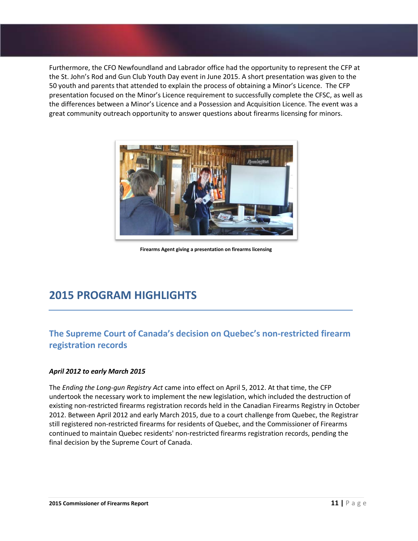Furthermore, the CFO Newfoundland and Labrador office had the opportunity to represent the CFP at the St. John's Rod and Gun Club Youth Day event in June 2015. A short presentation was given to the 50 youth and parents that attended to explain the process of obtaining a Minor's Licence. The CFP presentation focused on the Minor's Licence requirement to successfully complete the CFSC, as well as the differences between a Minor's Licence and a Possession and Acquisition Licence. The event was a great community outreach opportunity to answer questions about firearms licensing for minors.



**Firearms Agent giving a presentation on firearms licensing**

# <span id="page-10-0"></span>**2015 PROGRAM HIGHLIGHTS**

# <span id="page-10-1"></span>**The Supreme Court of Canada's decision on Quebec's non-restricted firearm registration records**

## *April 2012 to early March 2015*

The *Ending the Long-gun Registry Act* came into effect on April 5, 2012. At that time, the CFP undertook the necessary work to implement the new legislation, which included the destruction of existing non-restricted firearms registration records held in the Canadian Firearms Registry in October 2012. Between April 2012 and early March 2015, due to a court challenge from Quebec, the Registrar still registered non-restricted firearms for residents of Quebec, and the Commissioner of Firearms continued to maintain Quebec residents' non-restricted firearms registration records, pending the final decision by the Supreme Court of Canada.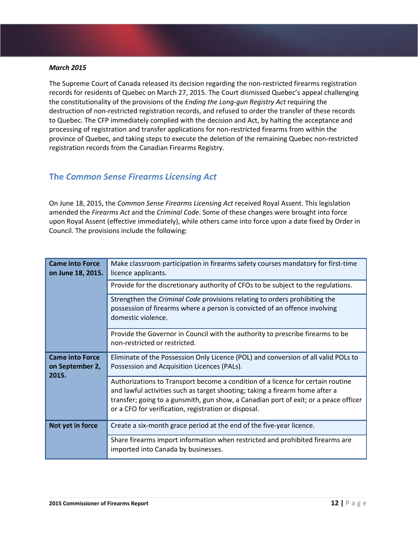#### *March 2015*

The Supreme Court of Canada released its decision regarding the non-restricted firearms registration records for residents of Quebec on March 27, 2015. The Court dismissed Quebec's appeal challenging the constitutionality of the provisions of the *Ending the Long-gun Registry Act* requiring the destruction of non-restricted registration records, and refused to order the transfer of these records to Quebec. The CFP immediately complied with the decision and Act, by halting the acceptance and processing of registration and transfer applications for non-restricted firearms from within the province of Quebec, and taking steps to execute the deletion of the remaining Quebec non-restricted registration records from the Canadian Firearms Registry.

# <span id="page-11-0"></span>**The** *Common Sense Firearms Licensing Act*

On June 18, 2015, the *Common Sense Firearms Licensing Act* received Royal Assent. This legislation amended the *Firearms Act* and the *Criminal Code*. Some of these changes were brought into force upon Royal Assent (effective immediately), while others came into force upon a date fixed by Order in Council. The provisions include the following:

| <b>Came into Force</b><br>on June 18, 2015.        | Make classroom participation in firearms safety courses mandatory for first-time<br>licence applicants.                                                                                                                                                                                                         |
|----------------------------------------------------|-----------------------------------------------------------------------------------------------------------------------------------------------------------------------------------------------------------------------------------------------------------------------------------------------------------------|
|                                                    | Provide for the discretionary authority of CFOs to be subject to the regulations.                                                                                                                                                                                                                               |
|                                                    | Strengthen the Criminal Code provisions relating to orders prohibiting the<br>possession of firearms where a person is convicted of an offence involving<br>domestic violence.                                                                                                                                  |
|                                                    | Provide the Governor in Council with the authority to prescribe firearms to be<br>non-restricted or restricted.                                                                                                                                                                                                 |
| <b>Came into Force</b><br>on September 2,<br>2015. | Eliminate of the Possession Only Licence (POL) and conversion of all valid POLs to<br>Possession and Acquisition Licences (PALs).                                                                                                                                                                               |
|                                                    | Authorizations to Transport become a condition of a licence for certain routine<br>and lawful activities such as target shooting; taking a firearm home after a<br>transfer; going to a gunsmith, gun show, a Canadian port of exit; or a peace officer<br>or a CFO for verification, registration or disposal. |
| Not yet in force                                   | Create a six-month grace period at the end of the five-year licence.                                                                                                                                                                                                                                            |
|                                                    | Share firearms import information when restricted and prohibited firearms are<br>imported into Canada by businesses.                                                                                                                                                                                            |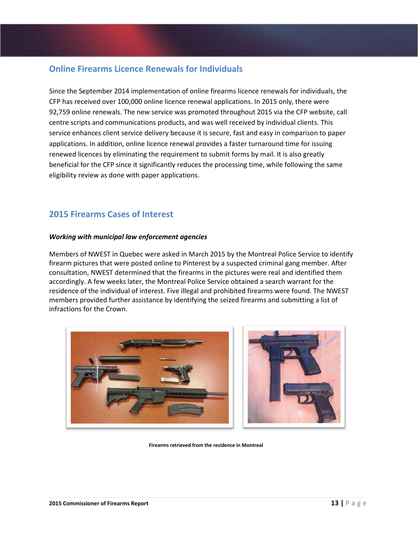# <span id="page-12-0"></span>**Online Firearms Licence Renewals for Individuals**

Since the September 2014 implementation of online firearms licence renewals for individuals, the CFP has received over 100,000 online licence renewal applications. In 2015 only, there were 92,759 online renewals. The new service was promoted throughout 2015 via the CFP website, call centre scripts and communications products, and was well received by individual clients. This service enhances client service delivery because it is secure, fast and easy in comparison to paper applications. In addition, online licence renewal provides a faster turnaround time for issuing renewed licences by eliminating the requirement to submit forms by mail. It is also greatly beneficial for the CFP since it significantly reduces the processing time, while following the same eligibility review as done with paper applications.

# <span id="page-12-1"></span>**2015 Firearms Cases of Interest**

#### *Working with municipal law enforcement agencies*

Members of NWEST in Quebec were asked in March 2015 by the Montreal Police Service to identify firearm pictures that were posted online to Pinterest by a suspected criminal gang member. After consultation, NWEST determined that the firearms in the pictures were real and identified them accordingly. A few weeks later, the Montreal Police Service obtained a search warrant for the residence of the individual of interest. Five illegal and prohibited firearms were found. The NWEST members provided further assistance by identifying the seized firearms and submitting a list of infractions for the Crown.





**Firearms retrieved from the residence in Montreal**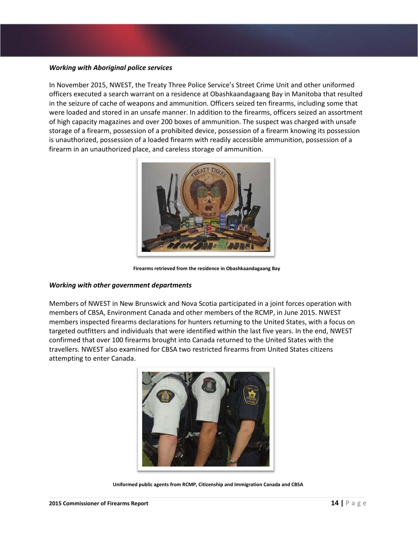#### *Working with Aboriginal police services*

In November 2015, NWEST, the Treaty Three Police Service's Street Crime Unit and other uniformed officers executed a search warrant on a residence at Obashkaandagaang Bay in Manitoba that resulted in the seizure of cache of weapons and ammunition. Officers seized ten firearms, including some that were loaded and stored in an unsafe manner. In addition to the firearms, officers seized an assortment of high capacity magazines and over 200 boxes of ammunition. The suspect was charged with unsafe storage of a firearm, possession of a prohibited device, possession of a firearm knowing its possession is unauthorized, possession of a loaded firearm with readily accessible ammunition, possession of a firearm in an unauthorized place, and careless storage of ammunition.



**Firearms retrieved from the residence in Obashkaandagaang Bay**

## *Working with other government departments*

Members of NWEST in New Brunswick and Nova Scotia participated in a joint forces operation with members of CBSA, Environment Canada and other members of the RCMP, in June 2015. NWEST members inspected firearms declarations for hunters returning to the United States, with a focus on targeted outfitters and individuals that were identified within the last five years. In the end, NWEST confirmed that over 100 firearms brought into Canada returned to the United States with the travellers. NWEST also examined for CBSA two restricted firearms from United States citizens attempting to enter Canada.



**Uniformed public agents from RCMP, Citizenship and Immigration Canada and CBSA**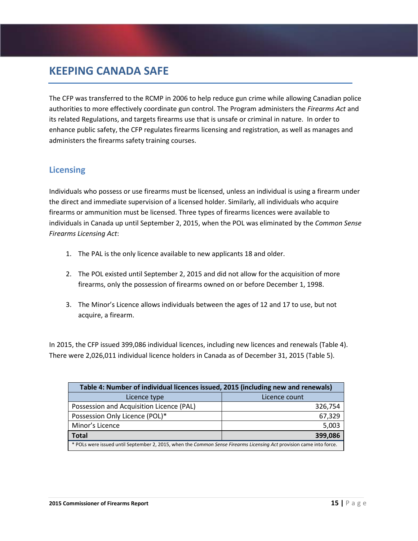# <span id="page-14-0"></span>**KEEPING CANADA SAFE**

The CFP was transferred to the RCMP in 2006 to help reduce gun crime while allowing Canadian police authorities to more effectively coordinate gun control. The Program administers the *Firearms Act* and its related Regulations, and targets firearms use that is unsafe or criminal in nature. In order to enhance public safety, the CFP regulates firearms licensing and registration, as well as manages and administers the firearms safety training courses.

# <span id="page-14-1"></span>**Licensing**

Individuals who possess or use firearms must be licensed, unless an individual is using a firearm under the direct and immediate supervision of a licensed holder. Similarly, all individuals who acquire firearms or ammunition must be licensed. Three types of firearms licences were available to individuals in Canada up until September 2, 2015, when the POL was eliminated by the *Common Sense Firearms Licensing Act*:

- 1. The PAL is the only licence available to new applicants 18 and older.
- 2. The POL existed until September 2, 2015 and did not allow for the acquisition of more firearms, only the possession of firearms owned on or before December 1, 1998.
- 3. The Minor's Licence allows individuals between the ages of 12 and 17 to use, but not acquire, a firearm.

In 2015, the CFP issued 399,086 individual licences, including new licences and renewals (Table 4). There were 2,026,011 individual licence holders in Canada as of December 31, 2015 (Table 5).

| Table 4: Number of individual licences issued, 2015 (including new and renewals)                                    |               |
|---------------------------------------------------------------------------------------------------------------------|---------------|
| Licence type                                                                                                        | Licence count |
| Possession and Acquisition Licence (PAL)                                                                            | 326,754       |
| Possession Only Licence (POL)*                                                                                      | 67,329        |
| Minor's Licence                                                                                                     | 5,003         |
| <b>Total</b><br>399,086                                                                                             |               |
| * POLs were issued until September 2, 2015, when the Common Sense Firearms Licensing Act provision came into force. |               |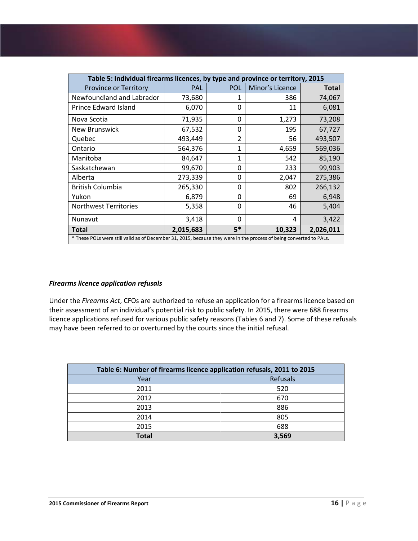| Table 5: Individual firearms licences, by type and province or territory, 2015                                      |            |                |                 |              |
|---------------------------------------------------------------------------------------------------------------------|------------|----------------|-----------------|--------------|
| <b>Province or Territory</b>                                                                                        | <b>PAL</b> | <b>POL</b>     | Minor's Licence | <b>Total</b> |
| Newfoundland and Labrador                                                                                           | 73,680     | 1              | 386             | 74,067       |
| Prince Edward Island                                                                                                | 6,070      | $\Omega$       | 11              | 6,081        |
| Nova Scotia                                                                                                         | 71,935     | 0              | 1,273           | 73,208       |
| <b>New Brunswick</b>                                                                                                | 67,532     | 0              | 195             | 67,727       |
| Quebec                                                                                                              | 493,449    | $\overline{2}$ | 56              | 493,507      |
| Ontario                                                                                                             | 564,376    | 1              | 4,659           | 569,036      |
| Manitoba                                                                                                            | 84,647     | 1              | 542             | 85,190       |
| Saskatchewan                                                                                                        | 99,670     | 0              | 233             | 99,903       |
| Alberta                                                                                                             | 273,339    | 0              | 2,047           | 275,386      |
| <b>British Columbia</b>                                                                                             | 265,330    | 0              | 802             | 266,132      |
| Yukon                                                                                                               | 6,879      | 0              | 69              | 6,948        |
| <b>Northwest Territories</b>                                                                                        | 5,358      | $\Omega$       | 46              | 5,404        |
| Nunavut                                                                                                             | 3,418      | $\Omega$       | 4               | 3,422        |
| <b>Total</b>                                                                                                        | 2,015,683  | 5*             | 10,323          | 2,026,011    |
| * These POLs were still valid as of December 31, 2015, because they were in the process of being converted to PALs. |            |                |                 |              |

## *Firearms licence application refusals*

Under the *Firearms Act*, CFOs are authorized to refuse an application for a firearms licence based on their assessment of an individual's potential risk to public safety. In 2015, there were 688 firearms licence applications refused for various public safety reasons (Tables 6 and 7). Some of these refusals may have been referred to or overturned by the courts since the initial refusal.

| Table 6: Number of firearms licence application refusals, 2011 to 2015 |          |  |
|------------------------------------------------------------------------|----------|--|
| Year                                                                   | Refusals |  |
| 2011                                                                   | 520      |  |
| 2012                                                                   | 670      |  |
| 2013                                                                   | 886      |  |
| 2014                                                                   | 805      |  |
| 2015                                                                   | 688      |  |
| <b>Total</b>                                                           | 3,569    |  |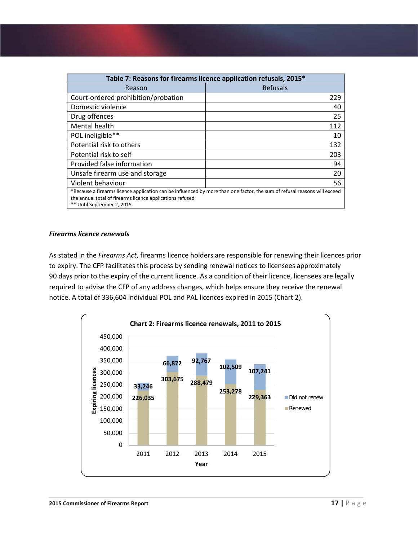| Table 7: Reasons for firearms licence application refusals, 2015*                                                                                                                                                      |          |
|------------------------------------------------------------------------------------------------------------------------------------------------------------------------------------------------------------------------|----------|
| Reason                                                                                                                                                                                                                 | Refusals |
| Court-ordered prohibition/probation                                                                                                                                                                                    | 229      |
| Domestic violence                                                                                                                                                                                                      | 40       |
| Drug offences                                                                                                                                                                                                          | 25       |
| Mental health                                                                                                                                                                                                          | 112      |
| POL ineligible**                                                                                                                                                                                                       | 10       |
| Potential risk to others                                                                                                                                                                                               | 132      |
| Potential risk to self                                                                                                                                                                                                 | 203      |
| Provided false information                                                                                                                                                                                             | 94       |
| Unsafe firearm use and storage                                                                                                                                                                                         | 20       |
| Violent behaviour                                                                                                                                                                                                      | 56       |
| *Because a firearms licence application can be influenced by more than one factor, the sum of refusal reasons will exceed<br>the annual total of firearms licence applications refused.<br>** Until September 2, 2015. |          |

## *Firearms licence renewals*

As stated in the *Firearms Act*, firearms licence holders are responsible for renewing their licences prior to expiry. The CFP facilitates this process by sending renewal notices to licensees approximately 90 days prior to the expiry of the current licence. As a condition of their licence, licensees are legally required to advise the CFP of any address changes, which helps ensure they receive the renewal notice. A total of 336,604 individual POL and PAL licences expired in 2015 (Chart 2).

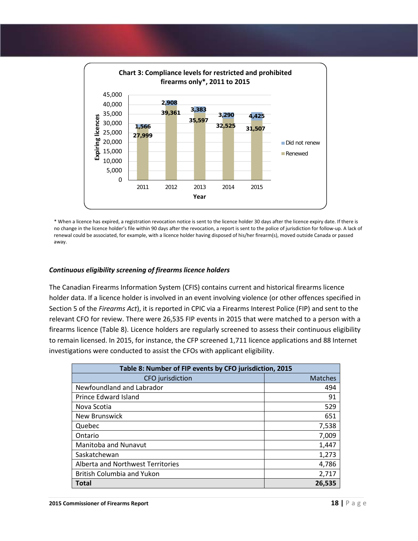

\* When a licence has expired, a registration revocation notice is sent to the licence holder 30 days after the licence expiry date. If there is no change in the licence holder's file within 90 days after the revocation, a report is sent to the police of jurisdiction for follow-up. A lack of renewal could be associated, for example, with a licence holder having disposed of his/her firearm(s), moved outside Canada or passed away.

## *Continuous eligibility screening of firearms licence holders*

The Canadian Firearms Information System (CFIS) contains current and historical firearms licence holder data. If a licence holder is involved in an event involving violence (or other offences specified in Section 5 of the *Firearms Act*), it is reported in CPIC via a Firearms Interest Police (FIP) and sent to the relevant CFO for review. There were 26,535 FIP events in 2015 that were matched to a person with a firearms licence (Table 8). Licence holders are regularly screened to assess their continuous eligibility to remain licensed. In 2015, for instance, the CFP screened 1,711 licence applications and 88 Internet investigations were conducted to assist the CFOs with applicant eligibility.

| Table 8: Number of FIP events by CFO jurisdiction, 2015 |         |
|---------------------------------------------------------|---------|
| CFO jurisdiction                                        | Matches |
| Newfoundland and Labrador                               | 494     |
| Prince Edward Island                                    | 91      |
| Nova Scotia                                             | 529     |
| New Brunswick                                           | 651     |
| Quebec                                                  | 7,538   |
| Ontario                                                 | 7,009   |
| <b>Manitoba and Nunavut</b>                             | 1,447   |
| Saskatchewan                                            | 1,273   |
| Alberta and Northwest Territories                       | 4,786   |
| British Columbia and Yukon                              | 2,717   |
| <b>Total</b>                                            | 26,535  |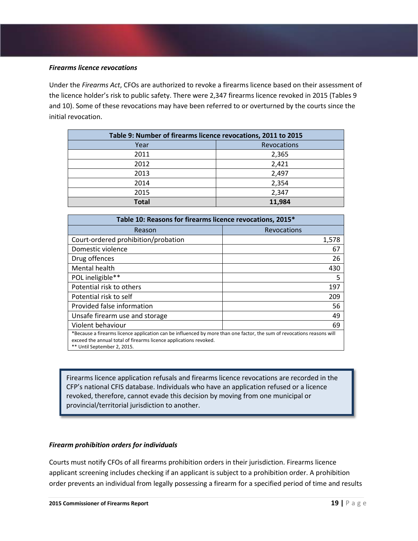## *Firearms licence revocations*

Under the *Firearms Act*, CFOs are authorized to revoke a firearms licence based on their assessment of the licence holder's risk to public safety. There were 2,347 firearms licence revoked in 2015 (Tables 9 and 10). Some of these revocations may have been referred to or overturned by the courts since the initial revocation.

| Table 9: Number of firearms licence revocations, 2011 to 2015 |             |  |
|---------------------------------------------------------------|-------------|--|
| Year                                                          | Revocations |  |
| 2011                                                          | 2,365       |  |
| 2012                                                          | 2,421       |  |
| 2013                                                          | 2,497       |  |
| 2014                                                          | 2,354       |  |
| 2015                                                          | 2,347       |  |
| <b>Total</b>                                                  | 11,984      |  |

| Table 10: Reasons for firearms licence revocations, 2015*                                                                                                                                                                  |             |
|----------------------------------------------------------------------------------------------------------------------------------------------------------------------------------------------------------------------------|-------------|
| Reason                                                                                                                                                                                                                     | Revocations |
| Court-ordered prohibition/probation                                                                                                                                                                                        | 1,578       |
| Domestic violence                                                                                                                                                                                                          | 67          |
| Drug offences                                                                                                                                                                                                              | 26          |
| Mental health                                                                                                                                                                                                              | 430         |
| POL ineligible**                                                                                                                                                                                                           | 5           |
| Potential risk to others                                                                                                                                                                                                   | 197         |
| Potential risk to self                                                                                                                                                                                                     | 209         |
| Provided false information                                                                                                                                                                                                 | 56          |
| Unsafe firearm use and storage                                                                                                                                                                                             | 49          |
| Violent behaviour                                                                                                                                                                                                          | 69          |
| *Because a firearms licence application can be influenced by more than one factor, the sum of revocations reasons will<br>exceed the annual total of firearms licence applications revoked.<br>** Until September 2, 2015. |             |

Firearms licence application refusals and firearms licence revocations are recorded in the CFP's national CFIS database. Individuals who have an application refused or a licence revoked, therefore, cannot evade this decision by moving from one municipal or provincial/territorial jurisdiction to another.

#### *Firearm prohibition orders for individuals*

Courts must notify CFOs of all firearms prohibition orders in their jurisdiction. Firearms licence applicant screening includes checking if an applicant is subject to a prohibition order. A prohibition order prevents an individual from legally possessing a firearm for a specified period of time and results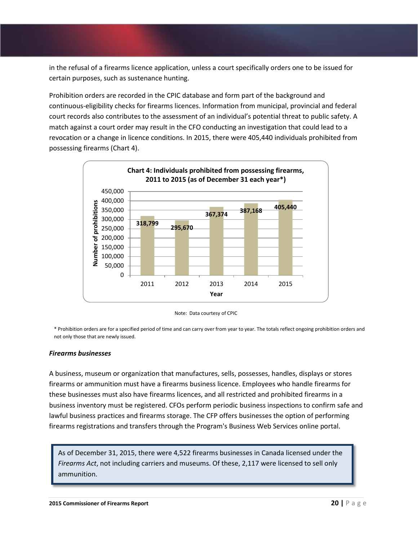in the refusal of a firearms licence application, unless a court specifically orders one to be issued for certain purposes, such as sustenance hunting.

Prohibition orders are recorded in the CPIC database and form part of the background and continuous-eligibility checks for firearms licences. Information from municipal, provincial and federal court records also contributes to the assessment of an individual's potential threat to public safety. A match against a court order may result in the CFO conducting an investigation that could lead to a revocation or a change in licence conditions. In 2015, there were 405,440 individuals prohibited from possessing firearms (Chart 4).



Note: Data courtesy of CPIC

\* Prohibition orders are for a specified period of time and can carry over from year to year. The totals reflect ongoing prohibition orders and not only those that are newly issued.

#### *Firearms businesses*

A business, museum or organization that manufactures, sells, possesses, handles, displays or stores firearms or ammunition must have a firearms business licence. Employees who handle firearms for these businesses must also have firearms licences, and all restricted and prohibited firearms in a business inventory must be registered. CFOs perform periodic business inspections to confirm safe and lawful business practices and firearms storage. The CFP offers businesses the option of performing firearms registrations and transfers through the Program's Business Web Services online portal.

As of December 31, 2015, there were 4,522 firearms businesses in Canada licensed under the *Firearms Act*, not including carriers and museums. Of these, 2,117 were licensed to sell only ammunition.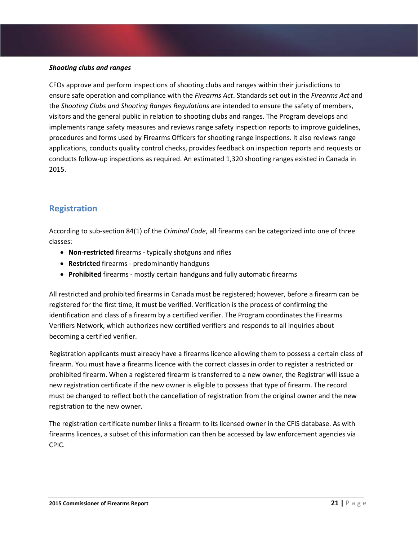## *Shooting clubs and ranges*

CFOs approve and perform inspections of shooting clubs and ranges within their jurisdictions to ensure safe operation and compliance with the *Firearms Act*. Standards set out in the *Firearms Act* and the *Shooting Clubs and Shooting Ranges Regulations* are intended to ensure the safety of members, visitors and the general public in relation to shooting clubs and ranges. The Program develops and implements range safety measures and reviews range safety inspection reports to improve guidelines, procedures and forms used by Firearms Officers for shooting range inspections. It also reviews range applications, conducts quality control checks, provides feedback on inspection reports and requests or conducts follow-up inspections as required. An estimated 1,320 shooting ranges existed in Canada in 2015.

# <span id="page-20-0"></span>**Registration**

According to sub-section 84(1) of the *Criminal Code*, all firearms can be categorized into one of three classes:

- **Non-restricted** firearms typically shotguns and rifles
- **Restricted** firearms predominantly handguns
- **Prohibited** firearms mostly certain handguns and fully automatic firearms

All restricted and prohibited firearms in Canada must be registered; however, before a firearm can be registered for the first time, it must be verified. Verification is the process of confirming the identification and class of a firearm by a certified verifier. The Program coordinates the Firearms Verifiers Network, which authorizes new certified verifiers and responds to all inquiries about becoming a certified verifier.

Registration applicants must already have a firearms licence allowing them to possess a certain class of firearm. You must have a firearms licence with the correct classes in order to register a restricted or prohibited firearm. When a registered firearm is transferred to a new owner, the Registrar will issue a new registration certificate if the new owner is eligible to possess that type of firearm. The record must be changed to reflect both the cancellation of registration from the original owner and the new registration to the new owner.

The registration certificate number links a firearm to its licensed owner in the CFIS database. As with firearms licences, a subset of this information can then be accessed by law enforcement agencies via CPIC.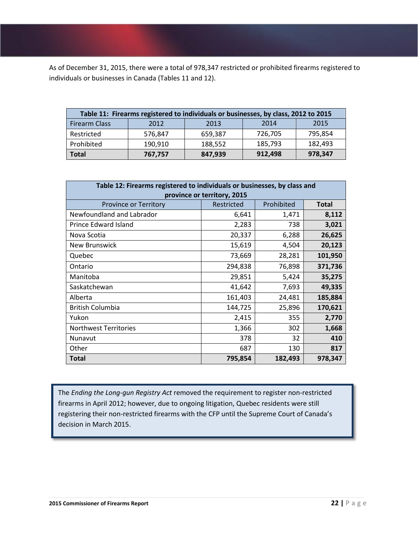As of December 31, 2015, there were a total of 978,347 restricted or prohibited firearms registered to individuals or businesses in Canada (Tables 11 and 12).

| Table 11: Firearms registered to individuals or businesses, by class, 2012 to 2015 |         |         |         |         |  |  |
|------------------------------------------------------------------------------------|---------|---------|---------|---------|--|--|
| <b>Firearm Class</b>                                                               | 2012    | 2013    | 2014    | 2015    |  |  |
| Restricted                                                                         | 576,847 | 659,387 | 726,705 | 795,854 |  |  |
| Prohibited                                                                         | 190,910 | 188,552 | 185,793 | 182,493 |  |  |
| <b>Total</b>                                                                       | 767,757 | 847,939 | 912,498 | 978,347 |  |  |

| Table 12: Firearms registered to individuals or businesses, by class and<br>province or territory, 2015 |            |            |              |  |  |  |
|---------------------------------------------------------------------------------------------------------|------------|------------|--------------|--|--|--|
| <b>Province or Territory</b>                                                                            | Restricted | Prohibited | <b>Total</b> |  |  |  |
| Newfoundland and Labrador                                                                               | 6,641      | 1,471      | 8,112        |  |  |  |
| Prince Edward Island                                                                                    | 2,283      | 738        | 3,021        |  |  |  |
| Nova Scotia                                                                                             | 20,337     | 6,288      | 26,625       |  |  |  |
| <b>New Brunswick</b>                                                                                    | 15,619     | 4,504      | 20,123       |  |  |  |
| Quebec                                                                                                  | 73,669     | 28,281     | 101,950      |  |  |  |
| Ontario                                                                                                 | 294,838    | 76,898     | 371,736      |  |  |  |
| Manitoba                                                                                                | 29,851     | 5,424      | 35,275       |  |  |  |
| Saskatchewan                                                                                            | 41,642     | 7,693      | 49,335       |  |  |  |
| Alberta                                                                                                 | 161,403    | 24,481     | 185,884      |  |  |  |
| <b>British Columbia</b>                                                                                 | 144,725    | 25,896     | 170,621      |  |  |  |
| Yukon                                                                                                   | 2,415      | 355        | 2,770        |  |  |  |
| <b>Northwest Territories</b>                                                                            | 1,366      | 302        | 1,668        |  |  |  |
| Nunavut                                                                                                 | 378        | 32         | 410          |  |  |  |
| Other                                                                                                   | 687        | 130        | 817          |  |  |  |
| <b>Total</b>                                                                                            | 795,854    | 182,493    | 978,347      |  |  |  |

The *Ending the Long-gun Registry Act* removed the requirement to register non-restricted firearms in April 2012; however, due to ongoing litigation, Quebec residents were still registering their non-restricted firearms with the CFP until the Supreme Court of Canada's decision in March 2015.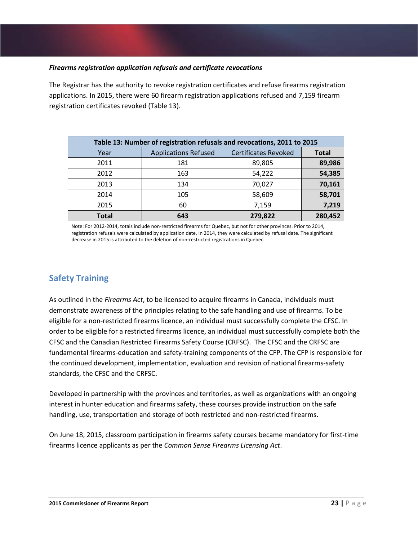## *Firearms registration application refusals and certificate revocations*

The Registrar has the authority to revoke registration certificates and refuse firearms registration applications. In 2015, there were 60 firearm registration applications refused and 7,159 firearm registration certificates revoked (Table 13).

| Table 13: Number of registration refusals and revocations, 2011 to 2015 |                             |                             |              |  |  |
|-------------------------------------------------------------------------|-----------------------------|-----------------------------|--------------|--|--|
| Year                                                                    | <b>Applications Refused</b> | <b>Certificates Revoked</b> | <b>Total</b> |  |  |
| 2011                                                                    | 181                         | 89,805                      | 89,986       |  |  |
| 2012                                                                    | 163                         | 54,222                      | 54,385       |  |  |
| 2013                                                                    | 134                         | 70,027                      | 70,161       |  |  |
| 2014                                                                    | 105                         | 58,609                      | 58,701       |  |  |
| 2015                                                                    | 60                          | 7,159                       | 7,219        |  |  |
| <b>Total</b>                                                            | 643                         | 279,822                     | 280,452      |  |  |

Note: For 2012-2014, totals include non-restricted firearms for Quebec, but not for other provinces. Prior to 2014, registration refusals were calculated by application date. In 2014, they were calculated by refusal date. The significant decrease in 2015 is attributed to the deletion of non-restricted registrations in Quebec.

# <span id="page-22-0"></span>**Safety Training**

As outlined in the *Firearms Act*, to be licensed to acquire firearms in Canada, individuals must demonstrate awareness of the principles relating to the safe handling and use of firearms. To be eligible for a non-restricted firearms licence, an individual must successfully complete the CFSC. In order to be eligible for a restricted firearms licence, an individual must successfully complete both the CFSC and the Canadian Restricted Firearms Safety Course (CRFSC). The CFSC and the CRFSC are fundamental firearms-education and safety-training components of the CFP. The CFP is responsible for the continued development, implementation, evaluation and revision of national firearms-safety standards, the CFSC and the CRFSC.

Developed in partnership with the provinces and territories, as well as organizations with an ongoing interest in hunter education and firearms safety, these courses provide instruction on the safe handling, use, transportation and storage of both restricted and non-restricted firearms.

On June 18, 2015, classroom participation in firearms safety courses became mandatory for first-time firearms licence applicants as per the *Common Sense Firearms Licensing Act*.